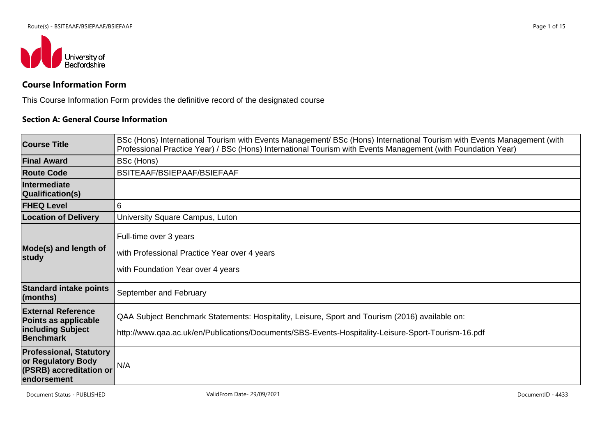

# **Course Information Form**

This Course Information Form provides the definitive record of the designated course

### **Section A: General Course Information**

| <b>Course Title</b>                                                                            | BSc (Hons) International Tourism with Events Management/ BSc (Hons) International Tourism with Events Management (with<br>Professional Practice Year) / BSc (Hons) International Tourism with Events Management (with Foundation Year) |
|------------------------------------------------------------------------------------------------|----------------------------------------------------------------------------------------------------------------------------------------------------------------------------------------------------------------------------------------|
| <b>Final Award</b>                                                                             | BSc (Hons)                                                                                                                                                                                                                             |
| <b>Route Code</b>                                                                              | BSITEAAF/BSIEPAAF/BSIEFAAF                                                                                                                                                                                                             |
| Intermediate<br>Qualification(s)                                                               |                                                                                                                                                                                                                                        |
| <b>FHEQ Level</b>                                                                              | 6                                                                                                                                                                                                                                      |
| <b>Location of Delivery</b>                                                                    | University Square Campus, Luton                                                                                                                                                                                                        |
| Mode(s) and length of<br>∣study                                                                | Full-time over 3 years<br>with Professional Practice Year over 4 years<br>with Foundation Year over 4 years                                                                                                                            |
| <b>Standard intake points</b><br>$\mathsf{ }(\mathsf{months}\mathsf{)}$                        | September and February                                                                                                                                                                                                                 |
| <b>External Reference</b><br>Points as applicable<br>including Subject<br>Benchmark            | QAA Subject Benchmark Statements: Hospitality, Leisure, Sport and Tourism (2016) available on:<br>http://www.qaa.ac.uk/en/Publications/Documents/SBS-Events-Hospitality-Leisure-Sport-Tourism-16.pdf                                   |
| <b>Professional, Statutory</b><br>or Regulatory Body<br>(PSRB) accreditation or<br>endorsement | N/A                                                                                                                                                                                                                                    |

Document Status - PUBLISHED **CONFINITION** ValidFrom Date- 29/09/2021 **DocumentID** - 4433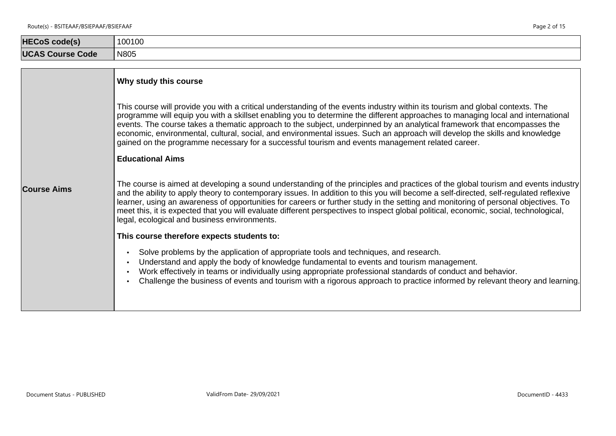| <b>HECoS code(s)</b>    | 100100 |
|-------------------------|--------|
| <b>UCAS Course Code</b> | N805   |

|                    | Why study this course                                                                                                                                                                                                                                                                                                                                                                                                                                                                                                                                                                                                                                      |
|--------------------|------------------------------------------------------------------------------------------------------------------------------------------------------------------------------------------------------------------------------------------------------------------------------------------------------------------------------------------------------------------------------------------------------------------------------------------------------------------------------------------------------------------------------------------------------------------------------------------------------------------------------------------------------------|
|                    | This course will provide you with a critical understanding of the events industry within its tourism and global contexts. The<br>programme will equip you with a skillset enabling you to determine the different approaches to managing local and international<br>events. The course takes a thematic approach to the subject, underpinned by an analytical framework that encompasses the<br>economic, environmental, cultural, social, and environmental issues. Such an approach will develop the skills and knowledge<br>gained on the programme necessary for a successful tourism and events management related career.<br><b>Educational Aims</b> |
| <b>Course Aims</b> | The course is aimed at developing a sound understanding of the principles and practices of the global tourism and events industry<br>and the ability to apply theory to contemporary issues. In addition to this you will become a self-directed, self-regulated reflexive<br>learner, using an awareness of opportunities for careers or further study in the setting and monitoring of personal objectives. To<br>meet this, it is expected that you will evaluate different perspectives to inspect global political, economic, social, technological,<br>legal, ecological and business environments.                                                  |
|                    | This course therefore expects students to:<br>Solve problems by the application of appropriate tools and techniques, and research.<br>$\bullet$<br>Understand and apply the body of knowledge fundamental to events and tourism management.<br>$\bullet$<br>Work effectively in teams or individually using appropriate professional standards of conduct and behavior.<br>$\bullet$<br>Challenge the business of events and tourism with a rigorous approach to practice informed by relevant theory and learning.                                                                                                                                        |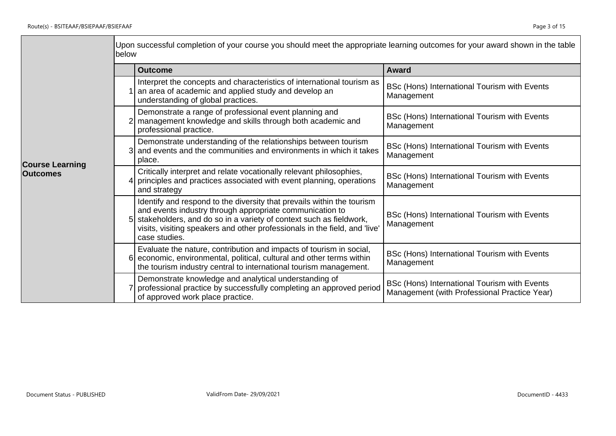$\blacksquare$ 

|                        | below | Upon successful completion of your course you should meet the appropriate learning outcomes for your award shown in the table                                                                                                                                                                             |                                                                                              |
|------------------------|-------|-----------------------------------------------------------------------------------------------------------------------------------------------------------------------------------------------------------------------------------------------------------------------------------------------------------|----------------------------------------------------------------------------------------------|
|                        |       | <b>Outcome</b>                                                                                                                                                                                                                                                                                            | <b>Award</b>                                                                                 |
|                        |       | Interpret the concepts and characteristics of international tourism as<br>an area of academic and applied study and develop an<br>understanding of global practices.                                                                                                                                      | BSc (Hons) International Tourism with Events<br>Management                                   |
|                        |       | Demonstrate a range of professional event planning and<br>2 management knowledge and skills through both academic and<br>professional practice.                                                                                                                                                           | BSc (Hons) International Tourism with Events<br>Management                                   |
| <b>Course Learning</b> |       | Demonstrate understanding of the relationships between tourism<br>3 and events and the communities and environments in which it takes<br>place.                                                                                                                                                           | BSc (Hons) International Tourism with Events<br>Management                                   |
| <b>Outcomes</b>        |       | Critically interpret and relate vocationally relevant philosophies,<br>4 principles and practices associated with event planning, operations<br>and strategy                                                                                                                                              | BSc (Hons) International Tourism with Events<br>Management                                   |
|                        |       | Identify and respond to the diversity that prevails within the tourism<br>and events industry through appropriate communication to<br>5 stakeholders, and do so in a variety of context such as fieldwork,<br>visits, visiting speakers and other professionals in the field, and 'live'<br>case studies. | BSc (Hons) International Tourism with Events<br>Management                                   |
|                        |       | Evaluate the nature, contribution and impacts of tourism in social,<br>6 economic, environmental, political, cultural and other terms within<br>the tourism industry central to international tourism management.                                                                                         | BSc (Hons) International Tourism with Events<br>Management                                   |
|                        |       | Demonstrate knowledge and analytical understanding of<br>professional practice by successfully completing an approved period<br>of approved work place practice.                                                                                                                                          | BSc (Hons) International Tourism with Events<br>Management (with Professional Practice Year) |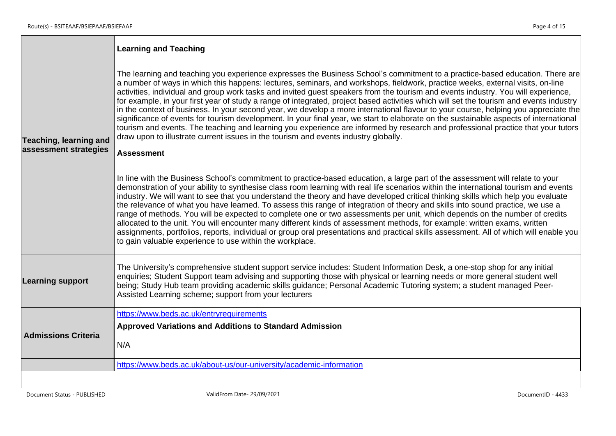Н

|                                                 | <b>Learning and Teaching</b>                                                                                                                                                                                                                                                                                                                                                                                                                                                                                                                                                                                                                                                                                                                                                                                                                                                                                                                                                                                                                                                   |
|-------------------------------------------------|--------------------------------------------------------------------------------------------------------------------------------------------------------------------------------------------------------------------------------------------------------------------------------------------------------------------------------------------------------------------------------------------------------------------------------------------------------------------------------------------------------------------------------------------------------------------------------------------------------------------------------------------------------------------------------------------------------------------------------------------------------------------------------------------------------------------------------------------------------------------------------------------------------------------------------------------------------------------------------------------------------------------------------------------------------------------------------|
| Teaching, learning and<br>assessment strategies | The learning and teaching you experience expresses the Business School's commitment to a practice-based education. There are<br>a number of ways in which this happens: lectures, seminars, and workshops, fieldwork, practice weeks, external visits, on-line<br>activities, individual and group work tasks and invited guest speakers from the tourism and events industry. You will experience,<br>for example, in your first year of study a range of integrated, project based activities which will set the tourism and events industry<br>in the context of business. In your second year, we develop a more international flavour to your course, helping you appreciate the<br>significance of events for tourism development. In your final year, we start to elaborate on the sustainable aspects of international<br>tourism and events. The teaching and learning you experience are informed by research and professional practice that your tutors<br>draw upon to illustrate current issues in the tourism and events industry globally.<br><b>Assessment</b> |
|                                                 | In line with the Business School's commitment to practice-based education, a large part of the assessment will relate to your<br>demonstration of your ability to synthesise class room learning with real life scenarios within the international tourism and events<br>industry. We will want to see that you understand the theory and have developed critical thinking skills which help you evaluate<br>the relevance of what you have learned. To assess this range of integration of theory and skills into sound practice, we use a<br>range of methods. You will be expected to complete one or two assessments per unit, which depends on the number of credits<br>allocated to the unit. You will encounter many different kinds of assessment methods, for example: written exams, written<br>assignments, portfolios, reports, individual or group oral presentations and practical skills assessment. All of which will enable you<br>to gain valuable experience to use within the workplace.                                                                   |
| <b>Learning support</b>                         | The University's comprehensive student support service includes: Student Information Desk, a one-stop shop for any initial<br>enquiries; Student Support team advising and supporting those with physical or learning needs or more general student well<br>being; Study Hub team providing academic skills guidance; Personal Academic Tutoring system; a student managed Peer-<br>Assisted Learning scheme; support from your lecturers                                                                                                                                                                                                                                                                                                                                                                                                                                                                                                                                                                                                                                      |
| <b>Admissions Criteria</b>                      | https://www.beds.ac.uk/entryrequirements<br><b>Approved Variations and Additions to Standard Admission</b><br>N/A                                                                                                                                                                                                                                                                                                                                                                                                                                                                                                                                                                                                                                                                                                                                                                                                                                                                                                                                                              |
|                                                 | https://www.beds.ac.uk/about-us/our-university/academic-information                                                                                                                                                                                                                                                                                                                                                                                                                                                                                                                                                                                                                                                                                                                                                                                                                                                                                                                                                                                                            |
|                                                 |                                                                                                                                                                                                                                                                                                                                                                                                                                                                                                                                                                                                                                                                                                                                                                                                                                                                                                                                                                                                                                                                                |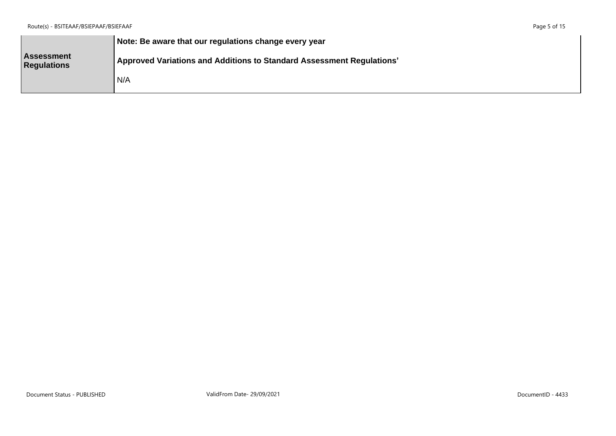|                                         | Note: Be aware that our regulations change every year                 |
|-----------------------------------------|-----------------------------------------------------------------------|
| <b>Assessment</b><br><b>Regulations</b> | Approved Variations and Additions to Standard Assessment Regulations' |
|                                         | N/A                                                                   |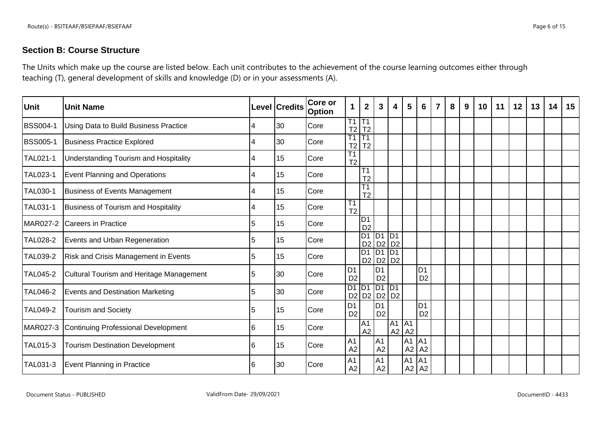# **Section B: Course Structure**

The Units which make up the course are listed below. Each unit contributes to the achievement of the course learning outcomes either through teaching (T), general development of skills and knowledge (D) or in your assessments (A).

| Unit            | <b>Unit Name</b>                                |   | Level Credits | Core or<br><b>Option</b> | $\mathbf{1}$                      | $\overline{\mathbf{2}}$                  | 3                                | 4  | 5                    | 6                                | $\overline{7}$ | 8 | 9 | 10 | 11 | 12 | 13 | 14 | 15 |
|-----------------|-------------------------------------------------|---|---------------|--------------------------|-----------------------------------|------------------------------------------|----------------------------------|----|----------------------|----------------------------------|----------------|---|---|----|----|----|----|----|----|
| <b>BSS004-1</b> | Using Data to Build Business Practice           |   | 30            | Core                     | $\overline{\text{T1}}$<br>T2      | T1<br>T <sub>2</sub>                     |                                  |    |                      |                                  |                |   |   |    |    |    |    |    |    |
| <b>BSS005-1</b> | <b>Business Practice Explored</b>               |   | 30            | Core                     | T1<br>T2                          | $\overline{T1}$<br>T <sub>2</sub>        |                                  |    |                      |                                  |                |   |   |    |    |    |    |    |    |
| <b>TAL021-1</b> | Understanding Tourism and Hospitality           |   | 15            | Core                     | $\overline{T1}$<br>T <sub>2</sub> |                                          |                                  |    |                      |                                  |                |   |   |    |    |    |    |    |    |
| <b>TAL023-1</b> | Event Planning and Operations                   |   | 15            | Core                     |                                   | $\overline{T1}$<br>T <sub>2</sub>        |                                  |    |                      |                                  |                |   |   |    |    |    |    |    |    |
| <b>TAL030-1</b> | <b>Business of Events Management</b>            | 4 | 15            | Core                     |                                   | $\overline{\text{T1}}$<br>T <sub>2</sub> |                                  |    |                      |                                  |                |   |   |    |    |    |    |    |    |
| TAL031-1        | <b>Business of Tourism and Hospitality</b>      |   | 15            | Core                     | T1<br>T <sub>2</sub>              |                                          |                                  |    |                      |                                  |                |   |   |    |    |    |    |    |    |
| MAR027-2        | <b>Careers in Practice</b>                      | 5 | 15            | Core                     |                                   | D <sub>1</sub><br>D <sub>2</sub>         |                                  |    |                      |                                  |                |   |   |    |    |    |    |    |    |
| <b>TAL028-2</b> | Events and Urban Regeneration                   | 5 | 15            | Core                     |                                   |                                          | D1 D1 D1<br>D2 D2 D2             |    |                      |                                  |                |   |   |    |    |    |    |    |    |
| <b>TAL039-2</b> | Risk and Crisis Management in Events            | 5 | 15            | Core                     |                                   | $\overline{D1}$                          | $D1$ $D1$<br>D2 D2 D2            |    |                      |                                  |                |   |   |    |    |    |    |    |    |
| <b>TAL045-2</b> | <b>Cultural Tourism and Heritage Management</b> | 5 | 30            | Core                     | D <sub>1</sub><br>D <sub>2</sub>  |                                          | D1<br>D <sub>2</sub>             |    |                      | D <sub>1</sub><br>D <sub>2</sub> |                |   |   |    |    |    |    |    |    |
| <b>TAL046-2</b> | <b>Events and Destination Marketing</b>         | 5 | 30            | Core                     |                                   | $D1$ $D1$                                | $DT$ D1<br>D2 D2 D2 D2           |    |                      |                                  |                |   |   |    |    |    |    |    |    |
| <b>TAL049-2</b> | <b>Tourism and Society</b>                      | 5 | 15            | Core                     | D <sub>1</sub><br>D <sub>2</sub>  |                                          | D <sub>1</sub><br>D <sub>2</sub> |    |                      | D <sub>1</sub><br>D <sub>2</sub> |                |   |   |    |    |    |    |    |    |
| MAR027-3        | Continuing Professional Development             | 6 | 15            | Core                     |                                   | $\overline{A1}$<br>A2                    |                                  | A2 | A1 A1<br>A2          |                                  |                |   |   |    |    |    |    |    |    |
| <b>TAL015-3</b> | <b>Tourism Destination Development</b>          | 6 | 15            | Core                     | A <sub>1</sub><br>A2              |                                          | A <sub>1</sub><br>A2             |    | A <sub>1</sub><br>A2 | A <sub>1</sub><br>A2             |                |   |   |    |    |    |    |    |    |
| TAL031-3        | Event Planning in Practice                      | 6 | 30            | Core                     | A <sub>1</sub><br>A2              |                                          | A <sub>1</sub><br>A2             |    | A <sub>1</sub>       | A <sub>1</sub><br>$A2$ $A2$      |                |   |   |    |    |    |    |    |    |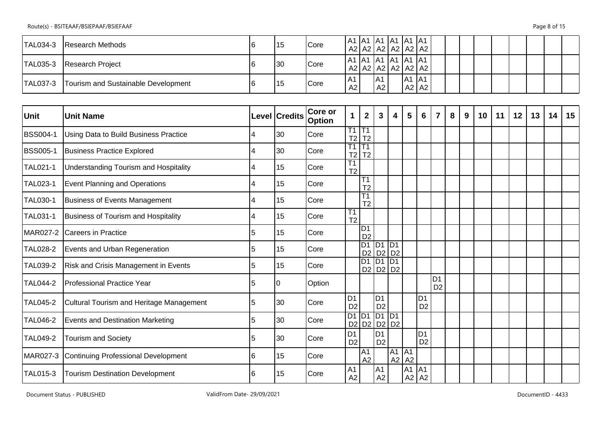Route(s) - BSITEAAF/BSIEPAAF/BSIEFAAF Page 8 of 15

| TAL034-3 | <b>Research Methods</b>             | 115 | <b>Core</b> | A1   A1   A1   A1   A1   A1<br>A2   A2   A2   A2   A2   A2 |           |       |           |  |  |  |  |  |
|----------|-------------------------------------|-----|-------------|------------------------------------------------------------|-----------|-------|-----------|--|--|--|--|--|
| TAL035-3 | Research Project                    | 30  | <b>Core</b> | A1   A1   A1   A1   A1   A1<br>A2   A2   A2   A2   A2   A2 |           |       |           |  |  |  |  |  |
| TAL037-3 | Tourism and Sustainable Development | 15  | <b>Core</b> | A1<br>A2                                                   | IA1<br>A2 | A1 A1 | $A2$ $A2$ |  |  |  |  |  |

| Unit            | <b>Unit Name</b>                            |    | Level Credits | Core or<br><b>Option</b> | $\mathbf 1$                       | $\overline{2}$                           | 3                                | $\overline{\mathbf{4}}$     | $5\phantom{.0}$ | 6                                | $\overline{7}$                   | 8 | 9 | 10 <sup>°</sup> | 11 | 12 | 13 | 14 | 15 |
|-----------------|---------------------------------------------|----|---------------|--------------------------|-----------------------------------|------------------------------------------|----------------------------------|-----------------------------|-----------------|----------------------------------|----------------------------------|---|---|-----------------|----|----|----|----|----|
| <b>BSS004-1</b> | Using Data to Build Business Practice       | 4  | 30            | Core                     | $\overline{T1}$<br>T <sub>2</sub> | $\overline{T1}$<br>T <sub>2</sub>        |                                  |                             |                 |                                  |                                  |   |   |                 |    |    |    |    |    |
| <b>BSS005-1</b> | <b>Business Practice Explored</b>           | 4  | 30            | Core                     | T1<br>T2                          | $\overline{11}$<br>T <sub>2</sub>        |                                  |                             |                 |                                  |                                  |   |   |                 |    |    |    |    |    |
| TAL021-1        | Understanding Tourism and Hospitality       | 4  | 15            | Core                     | T1<br>T <sub>2</sub>              |                                          |                                  |                             |                 |                                  |                                  |   |   |                 |    |    |    |    |    |
| TAL023-1        | <b>Event Planning and Operations</b>        |    | 15            | Core                     |                                   | T1<br>T <sub>2</sub>                     |                                  |                             |                 |                                  |                                  |   |   |                 |    |    |    |    |    |
| <b>TAL030-1</b> | Business of Events Management               |    | 15            | Core                     |                                   | $\overline{\text{T1}}$<br>T <sub>2</sub> |                                  |                             |                 |                                  |                                  |   |   |                 |    |    |    |    |    |
| TAL031-1        | Business of Tourism and Hospitality         |    | 15            | Core                     | T1<br>T <sub>2</sub>              |                                          |                                  |                             |                 |                                  |                                  |   |   |                 |    |    |    |    |    |
| MAR027-2        | <b>Careers in Practice</b>                  | 5  | 15            | Core                     |                                   | ID1<br>D <sub>2</sub>                    |                                  |                             |                 |                                  |                                  |   |   |                 |    |    |    |    |    |
| TAL028-2        | Events and Urban Regeneration               | 5  | 15            | Core                     |                                   | $D1$ $D1$                                |                                  | $\overline{D1}$<br>D2 D2 D2 |                 |                                  |                                  |   |   |                 |    |    |    |    |    |
| TAL039-2        | <b>Risk and Crisis Management in Events</b> | 5  | 15            | Core                     |                                   | D <sub>1</sub> D <sub>1</sub>            |                                  | TD <sub>1</sub><br>D2 D2 D2 |                 |                                  |                                  |   |   |                 |    |    |    |    |    |
| TAL044-2        | Professional Practice Year                  | 5  | 10            | Option                   |                                   |                                          |                                  |                             |                 |                                  | D <sub>1</sub><br>D <sub>2</sub> |   |   |                 |    |    |    |    |    |
| TAL045-2        | Cultural Tourism and Heritage Management    | 5  | 30            | Core                     | D <sub>1</sub><br>D <sub>2</sub>  |                                          | D <sub>1</sub><br>D <sub>2</sub> |                             |                 | D <sub>1</sub><br>D <sub>2</sub> |                                  |   |   |                 |    |    |    |    |    |
| TAL046-2        | <b>Events and Destination Marketing</b>     | 5  | 30            | Core                     | D2                                | $D1$ $D1$                                | $DI$ $DI$                        | D2 D2 D2                    |                 |                                  |                                  |   |   |                 |    |    |    |    |    |
| TAL049-2        | <b>Tourism and Society</b>                  | 5  | 30            | Core                     | D <sub>1</sub><br>D <sub>2</sub>  |                                          | D <sub>1</sub><br>D <sub>2</sub> |                             |                 | D <sub>1</sub><br>D <sub>2</sub> |                                  |   |   |                 |    |    |    |    |    |
| MAR027-3        | Continuing Professional Development         | 16 | 15            | Core                     |                                   | $\overline{A1}$<br>A2                    |                                  | A1 A1<br>A2                 | A2              |                                  |                                  |   |   |                 |    |    |    |    |    |
| TAL015-3        | <b>Tourism Destination Development</b>      | 16 | 15            | Core                     | A <sub>1</sub><br>A2              |                                          | A <sub>1</sub><br>A2             |                             | A <sub>1</sub>  | AA<br>$A2$ $A2$                  |                                  |   |   |                 |    |    |    |    |    |

Document Status - PUBLISHED ValidFrom Date- 29/09/2021 ValidFrom Date- 29/09/2021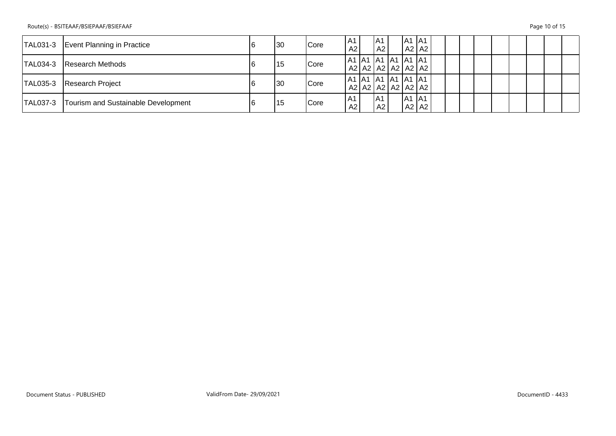|                 | TAL031-3   Event Planning in Practice | 130 | Core        | A1<br>A2               | IA1<br>A2 | A1 A1     | A2 A2                       |  |  |  |  |  |
|-----------------|---------------------------------------|-----|-------------|------------------------|-----------|-----------|-----------------------------|--|--|--|--|--|
| <b>TAL034-3</b> | <b>Research Methods</b>               | 115 | <b>Core</b> | A1  A1  A1  A1  A1  A1 |           |           | A2   A2   A2   A2   A2   A2 |  |  |  |  |  |
|                 | TAL035-3 Research Project             | 130 | <b>Core</b> | A1  A1  A1  A1  A1  A1 |           |           | A2   A2   A2   A2   A2   A2 |  |  |  |  |  |
| TAL037-3        | Tourism and Sustainable Development   | 15  | <b>Core</b> | A1<br>A2               | A1 <br>A2 | $A1$ $A1$ | A2 A2                       |  |  |  |  |  |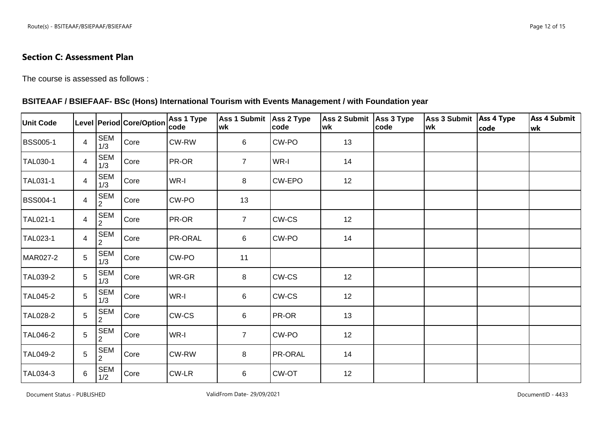## **Section C: Assessment Plan**

The course is assessed as follows :

### **BSITEAAF / BSIEFAAF- BSc (Hons) International Tourism with Events Management / with Foundation year**

| <b>Unit Code</b> |                |                              | Level Period Core/Option | Ass 1 Type<br> code | Ass 1 Submit Ass 2 Type<br>wk | code    | Ass 2 Submit Ass 3 Type<br>wk | code | Ass 3 Submit Ass 4 Type<br>wk | code | <b>Ass 4 Submit</b><br> wk |
|------------------|----------------|------------------------------|--------------------------|---------------------|-------------------------------|---------|-------------------------------|------|-------------------------------|------|----------------------------|
| <b>BSS005-1</b>  | $\overline{4}$ | <b>SEM</b><br>1/3            | Core                     | CW-RW               | 6                             | CW-PO   | 13                            |      |                               |      |                            |
| <b>TAL030-1</b>  | $\overline{4}$ | SEM<br>1/3                   | Core                     | PR-OR               | 7 <sup>1</sup>                | WR-I    | 14                            |      |                               |      |                            |
| TAL031-1         | 4              | <b>SEM</b><br>1/3            | Core                     | WR-I                | 8                             | CW-EPO  | 12                            |      |                               |      |                            |
| <b>BSS004-1</b>  | 4              | <b>SEM</b><br>2              | Core                     | CW-PO               | 13                            |         |                               |      |                               |      |                            |
| TAL021-1         | $\overline{4}$ | SEM<br>$\overline{2}$        | Core                     | PR-OR               | $\overline{7}$                | CW-CS   | 12                            |      |                               |      |                            |
| TAL023-1         | $\overline{4}$ | <b>SEM</b><br>$\overline{2}$ | Core                     | PR-ORAL             | 6                             | CW-PO   | 14                            |      |                               |      |                            |
| MAR027-2         | 5              | <b>SEM</b><br>1/3            | Core                     | CW-PO               | 11                            |         |                               |      |                               |      |                            |
| TAL039-2         | 5              | <b>SEM</b><br>1/3            | Core                     | WR-GR               | 8                             | CW-CS   | 12                            |      |                               |      |                            |
| <b>TAL045-2</b>  | 5              | <b>SEM</b><br>1/3            | Core                     | WR-I                | 6                             | CW-CS   | 12                            |      |                               |      |                            |
| <b>TAL028-2</b>  | 5              | <b>SEM</b><br>$\overline{2}$ | Core                     | CW-CS               | 6                             | PR-OR   | 13                            |      |                               |      |                            |
| <b>TAL046-2</b>  | $\overline{5}$ | SEM<br>$\overline{2}$        | Core                     | WR-I                | $\overline{7}$                | CW-PO   | 12                            |      |                               |      |                            |
| <b>TAL049-2</b>  | 5              | <b>SEM</b><br>$\overline{2}$ | Core                     | CW-RW               | 8                             | PR-ORAL | 14                            |      |                               |      |                            |
| TAL034-3         | 6              | SEM<br>1/2                   | Core                     | CW-LR               | 6                             | CW-OT   | 12                            |      |                               |      |                            |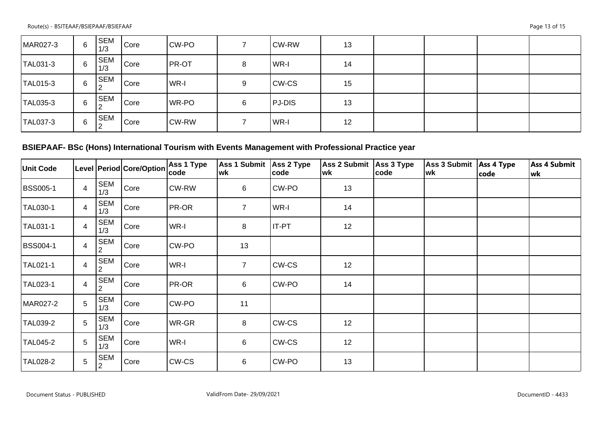| MAR027-3 | 6 | <b>SEM</b><br>1/3 | Core | CW-PO  |   | CW-RW        | 13 |  |  |
|----------|---|-------------------|------|--------|---|--------------|----|--|--|
| TAL031-3 | 6 | <b>SEM</b><br>1/3 | Core | PR-OT  | 8 | WR-I         | 14 |  |  |
| TAL015-3 | 6 | <b>SEM</b>        | Core | l WR-I | 9 | <b>CW-CS</b> | 15 |  |  |
| TAL035-3 | 6 | <b>SEM</b>        | Core | WR-PO  | 6 | PJ-DIS       | 13 |  |  |
| TAL037-3 | 6 | <b>SEM</b>        | Core | CW-RW  |   | WR-I         | 12 |  |  |

# **BSIEPAAF- BSc (Hons) International Tourism with Events Management with Professional Practice year**

| <b>Unit Code</b> |                |                              | Level Period Core/Option | <b>Ass 1 Type</b><br> code | <b>Ass 1 Submit</b><br>wk | Ass 2 Type<br> code | Ass 2 Submit<br>lwk | Ass 3 Type<br> code | Ass 3 Submit   Ass 4 Type<br>wk | code | <b>Ass 4 Submit</b><br> wk |
|------------------|----------------|------------------------------|--------------------------|----------------------------|---------------------------|---------------------|---------------------|---------------------|---------------------------------|------|----------------------------|
| <b>BSS005-1</b>  | $\overline{4}$ | <b>SEM</b><br>1/3            | Core                     | CW-RW                      | 6                         | CW-PO               | 13                  |                     |                                 |      |                            |
| TAL030-1         | 4              | <b>SEM</b><br>1/3            | Core                     | PR-OR                      | $\overline{7}$            | WR-I                | 14                  |                     |                                 |      |                            |
| TAL031-1         | 4              | <b>SEM</b><br>1/3            | Core                     | WR-I                       | 8                         | IT-PT               | 12                  |                     |                                 |      |                            |
| <b>BSS004-1</b>  | 4              | <b>SEM</b><br>2              | Core                     | CW-PO                      | 13                        |                     |                     |                     |                                 |      |                            |
| TAL021-1         | 4              | <b>SEM</b><br>2              | Core                     | WR-I                       | $\overline{7}$            | CW-CS               | 12                  |                     |                                 |      |                            |
| <b>TAL023-1</b>  | 4              | <b>SEM</b><br>$\overline{2}$ | Core                     | PR-OR                      | 6                         | CW-PO               | 14                  |                     |                                 |      |                            |
| MAR027-2         | 5              | <b>SEM</b><br>1/3            | Core                     | CW-PO                      | 11                        |                     |                     |                     |                                 |      |                            |
| TAL039-2         | 5              | <b>SEM</b><br>1/3            | Core                     | WR-GR                      | 8                         | CW-CS               | 12                  |                     |                                 |      |                            |
| <b>TAL045-2</b>  | 5              | <b>SEM</b><br>1/3            | Core                     | WR-I                       | 6                         | CW-CS               | 12                  |                     |                                 |      |                            |
| <b>TAL028-2</b>  | 5              | <b>SEM</b><br>$\overline{2}$ | Core                     | CW-CS                      | 6                         | CW-PO               | 13                  |                     |                                 |      |                            |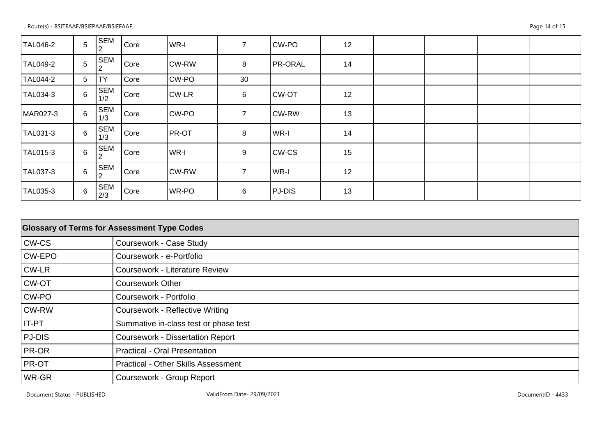| TAL046-2        | 5              | <b>SEM</b>        | Core | WR-I         | $\overline{7}$ | CW-PO          | 12 |  |  |
|-----------------|----------------|-------------------|------|--------------|----------------|----------------|----|--|--|
| <b>TAL049-2</b> | 5              | SEM<br>2          | Core | CW-RW        | 8              | <b>PR-ORAL</b> | 14 |  |  |
| TAL044-2        | 5              | <b>TY</b>         | Core | CW-PO        | 30             |                |    |  |  |
| TAL034-3        | $6\phantom{1}$ | <b>SEM</b><br>1/2 | Core | CW-LR        | 6              | <b>CW-OT</b>   | 12 |  |  |
| MAR027-3        | 6              | <b>SEM</b><br>1/3 | Core | CW-PO        | $\overline{7}$ | <b>CW-RW</b>   | 13 |  |  |
| TAL031-3        | $6\phantom{1}$ | <b>SEM</b><br>1/3 | Core | <b>PR-OT</b> | 8              | WR-I           | 14 |  |  |
| TAL015-3        | 6              | <b>SEM</b><br>2   | Core | WR-I         | 9              | <b>CW-CS</b>   | 15 |  |  |
| TAL037-3        | $6\phantom{1}$ | <b>SEM</b>        | Core | <b>CW-RW</b> | $\overline{7}$ | WR-I           | 12 |  |  |
| TAL035-3        | 6              | <b>SEM</b><br>2/3 | Core | WR-PO        | 6              | PJ-DIS         | 13 |  |  |

| <b>Glossary of Terms for Assessment Type Codes</b> |                                            |  |  |  |  |  |
|----------------------------------------------------|--------------------------------------------|--|--|--|--|--|
| CW-CS                                              | Coursework - Case Study                    |  |  |  |  |  |
| CW-EPO                                             | Coursework - e-Portfolio                   |  |  |  |  |  |
| CW-LR                                              | <b>Coursework - Literature Review</b>      |  |  |  |  |  |
| CW-OT                                              | <b>Coursework Other</b>                    |  |  |  |  |  |
| CW-PO                                              | Coursework - Portfolio                     |  |  |  |  |  |
| <b>CW-RW</b>                                       | <b>Coursework - Reflective Writing</b>     |  |  |  |  |  |
| IT-PT                                              | Summative in-class test or phase test      |  |  |  |  |  |
| PJ-DIS                                             | <b>Coursework - Dissertation Report</b>    |  |  |  |  |  |
| PR-OR                                              | <b>Practical - Oral Presentation</b>       |  |  |  |  |  |
| PR-OT                                              | <b>Practical - Other Skills Assessment</b> |  |  |  |  |  |
| WR-GR                                              | Coursework - Group Report                  |  |  |  |  |  |